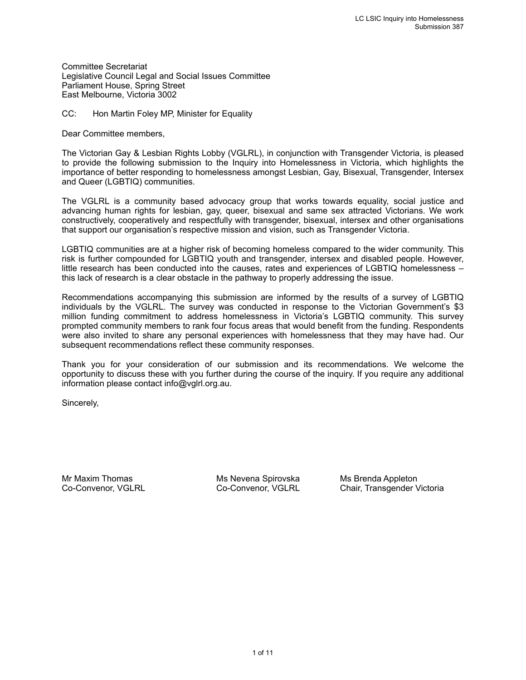Committee Secretariat Legislative Council Legal and Social Issues Committee Parliament House, Spring Street East Melbourne, Victoria 3002

CC: Hon Martin Foley MP, Minister for Equality

Dear Committee members,

The Victorian Gay & Lesbian Rights Lobby (VGLRL), in conjunction with Transgender Victoria, is pleased to provide the following submission to the Inquiry into Homelessness in Victoria, which highlights the importance of better responding to homelessness amongst Lesbian, Gay, Bisexual, Transgender, Intersex and Queer (LGBTIQ) communities.

The VGLRL is a community based advocacy group that works towards equality, social justice and advancing human rights for lesbian, gay, queer, bisexual and same sex attracted Victorians. We work constructively, cooperatively and respectfully with transgender, bisexual, intersex and other organisations that support our organisation's respective mission and vision, such as Transgender Victoria.

LGBTIQ communities are at a higher risk of becoming homeless compared to the wider community. This risk is further compounded for LGBTIQ youth and transgender, intersex and disabled people. However, little research has been conducted into the causes, rates and experiences of LGBTIQ homelessness – this lack of research is a clear obstacle in the pathway to properly addressing the issue.

Recommendations accompanying this submission are informed by the results of a survey of LGBTIQ individuals by the VGLRL. The survey was conducted in response to the Victorian Government's \$3 million funding commitment to address homelessness in Victoria's LGBTIQ community. This survey prompted community members to rank four focus areas that would benefit from the funding. Respondents were also invited to share any personal experiences with homelessness that they may have had. Our subsequent recommendations reflect these community responses.

Thank you for your consideration of our submission and its recommendations. We welcome the opportunity to discuss these with you further during the course of the inquiry. If you require any additional information please contact info@vglrl.org.au.

Sincerely,

Mr Maxim Thomas The Ms Nevena Spirovska Ms Brenda Appleton

Co-Convenor, VGLRL Co-Convenor, VGLRL Chair, Transgender Victoria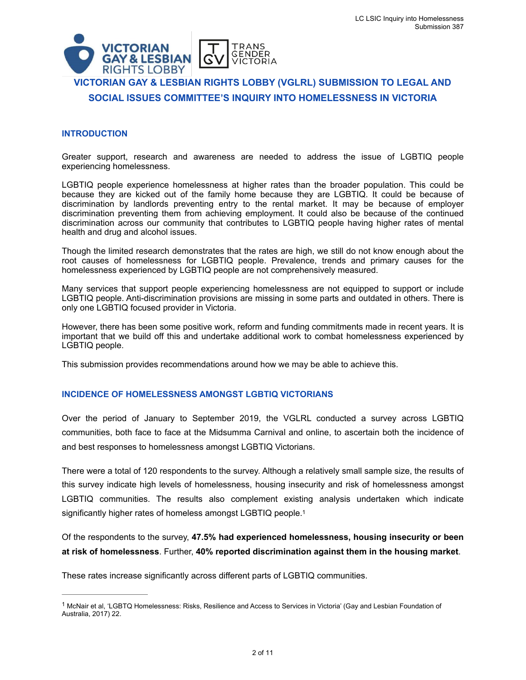

# **VICTORIAN GAY & LESBIAN RIGHTS LOBBY (VGLRL) SUBMISSION TO LEGAL AND SOCIAL ISSUES COMMITTEE'S INQUIRY INTO HOMELESSNESS IN VICTORIA**

## **INTRODUCTION**

Greater support, research and awareness are needed to address the issue of LGBTIQ people experiencing homelessness.

LGBTIQ people experience homelessness at higher rates than the broader population. This could be because they are kicked out of the family home because they are LGBTIQ. It could be because of discrimination by landlords preventing entry to the rental market. It may be because of employer discrimination preventing them from achieving employment. It could also be because of the continued discrimination across our community that contributes to LGBTIQ people having higher rates of mental health and drug and alcohol issues.

Though the limited research demonstrates that the rates are high, we still do not know enough about the root causes of homelessness for LGBTIQ people. Prevalence, trends and primary causes for the homelessness experienced by LGBTIQ people are not comprehensively measured.

Many services that support people experiencing homelessness are not equipped to support or include LGBTIQ people. Anti-discrimination provisions are missing in some parts and outdated in others. There is only one LGBTIQ focused provider in Victoria.

However, there has been some positive work, reform and funding commitments made in recent years. It is important that we build off this and undertake additional work to combat homelessness experienced by LGBTIQ people.

This submission provides recommendations around how we may be able to achieve this.

## **INCIDENCE OF HOMELESSNESS AMONGST LGBTIQ VICTORIANS**

Over the period of January to September 2019, the VGLRL conducted a survey across LGBTIQ communities, both face to face at the Midsumma Carnival and online, to ascertain both the incidence of and best responses to homelessness amongst LGBTIQ Victorians.

There were a total of 120 respondents to the survey. Although a relatively small sample size, the results of this survey indicate high levels of homelessness, housing insecurity and risk of homelessness amongst LGBTIQ communities. The results also complement existing analysis undertaken which indicate significantly higher rates of homeless amongst LGBTIQ people.<sup>1</sup>

<span id="page-1-1"></span>Of the respondents to the survey, **47.5% had experienced homelessness, housing insecurity or been at risk of homelessness**. Further, **40% reported discrimination against them in the housing market**.

These rates increase significantly across different parts of LGBTIQ communities.

<span id="page-1-0"></span> $1$ McNair et al, 'LGBTQ Homelessness: Risks, Resilience and Access to Services in Victoria' (Gay and Lesbian Foundation of Australia, 2017) 22.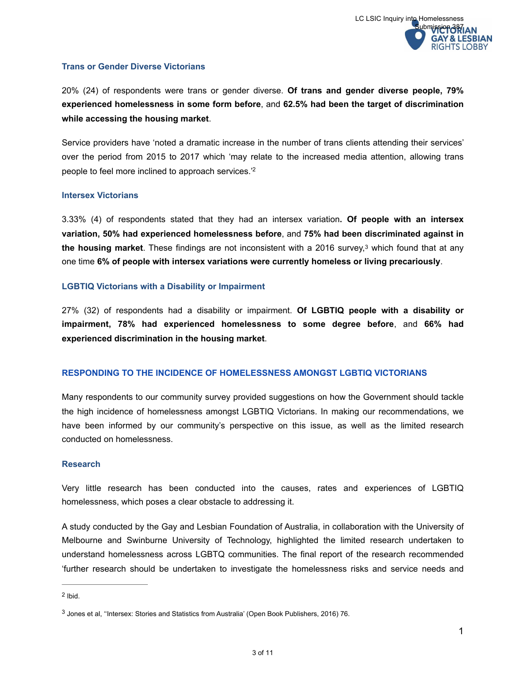# **Trans or Gender Diverse Victorians**

20% (24) of respondents were trans or gender diverse. **Of trans and gender diverse people, 79% experienced homelessness in some form before**, and **62.5% had been the target of discrimination while accessing the housing market**.

Service providers have 'noted a dramatic increase in the number of trans clients attending their services' over the period from 2015 to 2017 which 'may relate to the increased media attention, allowing trans people to feel more inclined to approach services.<sup>['](#page-2-0)[2](#page-2-0)</sup>

## <span id="page-2-2"></span>**Intersex Victorians**

<span id="page-2-3"></span>3.33% (4) of respondents stated that they had an intersex variation**. Of people with an intersex variation, 50% had experienced homelessness before**, and **75% had been discriminated against in thehousing market**. These findings are not inconsistent with a 2016 survey,<sup>[3](#page-2-1)</sup> which found that at any one time **6% of people with intersex variations were currently homeless or living precariously**.

## **LGBTIQ Victorians with a Disability or Impairment**

27% (32) of respondents had a disability or impairment. **Of LGBTIQ people with a disability or impairment, 78% had experienced homelessness to some degree before**, and **66% had experienced discrimination in the housing market**.

# **RESPONDING TO THE INCIDENCE OF HOMELESSNESS AMONGST LGBTIQ VICTORIANS**

Many respondents to our community survey provided suggestions on how the Government should tackle the high incidence of homelessness amongst LGBTIQ Victorians. In making our recommendations, we have been informed by our community's perspective on this issue, as well as the limited research conducted on homelessness.

## **Research**

Very little research has been conducted into the causes, rates and experiences of LGBTIQ homelessness, which poses a clear obstacle to addressing it.

A study conducted by the Gay and Lesbian Foundation of Australia, in collaboration with the University of Melbourne and Swinburne University of Technology, highlighted the limited research undertaken to understand homelessness across LGBTQ communities. The final report of the research recommended 'further research should be undertaken to investigate the homelessness risks and service needs and

<span id="page-2-0"></span> $2$  Ibid.

<span id="page-2-1"></span><sup>&</sup>lt;sup>[3](#page-2-3)</sup> Jones et al, "Intersex: Stories and Statistics from Australia' (Open Book Publishers, 2016) 76.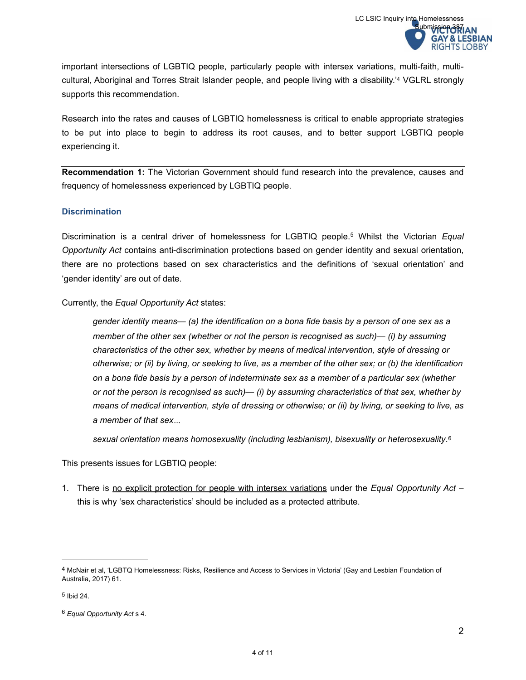<span id="page-3-3"></span>important intersections of LGBTIQ people, particularly people with intersex variations, multi-faith, multi-cultural, Aboriginal and Torres Strait Islander people, and people living with a disability.<sup>'[4](#page-3-0)</sup> VGLRL strongly supports this recommendation.

Research into the rates and causes of LGBTIQ homelessness is critical to enable appropriate strategies to be put into place to begin to address its root causes, and to better support LGBTIQ people experiencing it.

**Recommendation 1:** The Victorian Government should fund research into the prevalence, causes and frequency of homelessness experienced by LGBTIQ people.

## **Discrimination**

Discriminationis a central driver of homelessness for LGBTIQ people.<sup>5</sup> Whilst the Victorian *Equal Opportunity Act* contains anti-discrimination protections based on gender identity and sexual orientation, there are no protections based on sex characteristics and the definitions of 'sexual orientation' and 'gender identity' are out of date.

Currently, the *Equal Opportunity Act* states:

<span id="page-3-4"></span>*gender identity means— (a) the identification on a bona fide basis by a person of one sex as a member of the other sex (whether or not the person is recognised as such)— (i) by assuming characteristics of the other sex, whether by means of medical intervention, style of dressing or otherwise; or (ii) by living, or seeking to live, as a member of the other sex; or (b) the identification on a bona fide basis by a person of indeterminate sex as a member of a particular sex (whether or not the person is recognised as such)— (i) by assuming characteristics of that sex, whether by means of medical intervention, style of dressing or otherwise; or (ii) by living, or seeking to live, as a member of that sex…* 

<span id="page-3-5"></span>*sexual orientation means homosexuality (including lesbianism), bisexuality or heterosexuality*. [6](#page-3-2)

This presents issues for LGBTIQ people:

1. There is no explicit protection for people with intersex variations under the *Equal Opportunity Act* – this is why 'sex characteristics' should be included as a protected attribute.

<span id="page-3-0"></span><sup>4</sup>McNair et al, 'LGBTQ Homelessness: Risks, Resilience and Access to Services in Victoria' (Gay and Lesbian Foundation of Australia, 2017) 61.

<span id="page-3-1"></span> $5$  Ibid 24.

<span id="page-3-2"></span>*Equal Opportunity Act* s 4. [6](#page-3-5)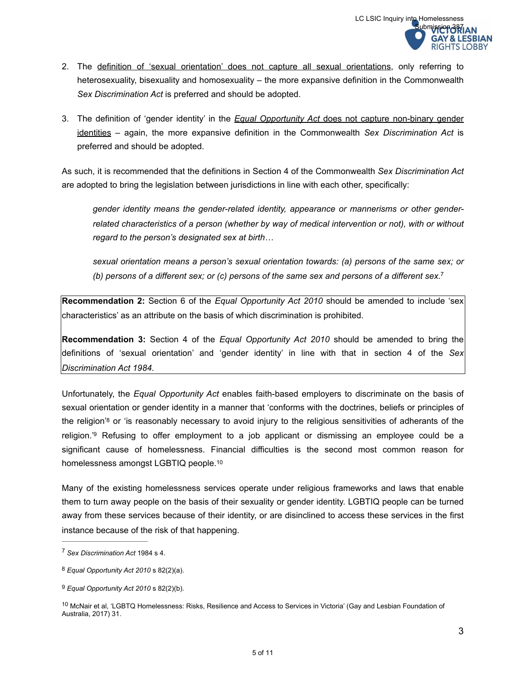- 2. The definition of 'sexual orientation' does not capture all sexual orientations, only referring to heterosexuality, bisexuality and homosexuality – the more expansive definition in the Commonwealth *Sex Discrimination Act* is preferred and should be adopted.
- 3. The definition of 'gender identity' in the *Equal Opportunity Act* does not capture non-binary gender identities – again, the more expansive definition in the Commonwealth *Sex Discrimination Act* is preferred and should be adopted.

As such, it is recommended that the definitions in Section 4 of the Commonwealth *Sex Discrimination Act*  are adopted to bring the legislation between jurisdictions in line with each other, specifically:

*gender identity means the gender-related identity, appearance or mannerisms or other genderrelated characteristics of a person (whether by way of medical intervention or not), with or without regard to the person's designated sex at birth…* 

<span id="page-4-4"></span>*sexual orientation means a person's sexual orientation towards: (a) persons of the same sex; or (b) persons of a different sex; or (c) persons of the same sex and persons of a different sex.*[7](#page-4-0)

**Recommendation 2:** Section 6 of the *Equal Opportunity Act 2010* should be amended to include 'sex characteristics' as an attribute on the basis of which discrimination is prohibited.

**Recommendation 3:** Section 4 of the *Equal Opportunity Act 2010* should be amended to bring the definitions of 'sexual orientation' and 'gender identity' in line with that in section 4 of the *Sex Discrimination Act 1984*.

<span id="page-4-6"></span><span id="page-4-5"></span>Unfortunately, the *Equal Opportunity Act* enables faith-based employers to discriminate on the basis of sexual orientation or gender identity in a manner that 'conforms with the doctrines, beliefs or principles of the religion'<sup>[8](#page-4-1)</sup> or 'is reasonably necessary to avoid injury to the religious sensitivities of adherants of the religion.<sup>'[9](#page-4-2)</sup> Refusing to offer employment to a job applicant or dismissing an employee could be a significant cause of homelessness. Financial difficulties is the second most common reason for homelessness amongst LGBTIQ people[. 10](#page-4-3)

<span id="page-4-7"></span>Many of the existing homelessness services operate under religious frameworks and laws that enable them to turn away people on the basis of their sexuality or gender identity. LGBTIQ people can be turned away from these services because of their identity, or are disinclined to access these services in the first instance because of the risk of that happening.

<span id="page-4-0"></span>*Sex Discrimination Act* 1984 s 4. [7](#page-4-4)

<span id="page-4-1"></span>*Equal Opportunity Act 2010* s 82(2)(a). [8](#page-4-5)

<span id="page-4-2"></span>*Equal Opportunity Act 2010* s 82(2)(b). [9](#page-4-6)

<span id="page-4-3"></span> $10$  McNair et al, 'LGBTQ Homelessness: Risks, Resilience and Access to Services in Victoria' (Gay and Lesbian Foundation of Australia, 2017) 31.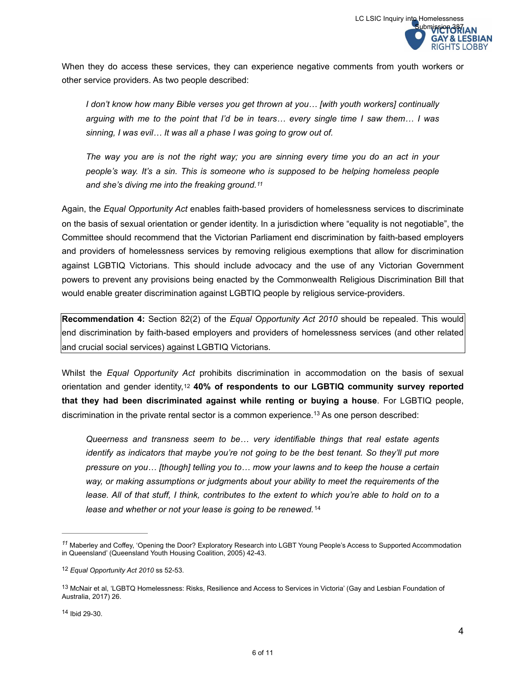When they do access these services, they can experience negative comments from youth workers or other service providers. As two people described:

*I don't know how many Bible verses you get thrown at you… [with youth workers] continually arguing with me to the point that I'd be in tears… every single time I saw them… I was sinning, I was evil… It was all a phase I was going to grow out of.* 

<span id="page-5-4"></span>*The way you are is not the right way; you are sinning every time you do an act in your people's way. It's a sin. This is someone who is supposed to be helping homeless people and she's diving me into the freaking ground.[11](#page-5-0)*

Again, the *Equal Opportunity Act* enables faith-based providers of homelessness services to discriminate on the basis of sexual orientation or gender identity. In a jurisdiction where "equality is not negotiable", the Committee should recommend that the Victorian Parliament end discrimination by faith-based employers and providers of homelessness services by removing religious exemptions that allow for discrimination against LGBTIQ Victorians. This should include advocacy and the use of any Victorian Government powers to prevent any provisions being enacted by the Commonwealth Religious Discrimination Bill that would enable greater discrimination against LGBTIQ people by religious service-providers.

**Recommendation 4:** Section 82(2) of the *Equal Opportunity Act 2010* should be repealed. This would end discrimination by faith-based employers and providers of homelessness services (and other related and crucial social services) against LGBTIQ Victorians.

Whilst the *Equal Opportunity Act* prohibits discrimination in accommodation on the basis of sexual orientationand gender identity,<sup>12</sup> 40% of respondents to our LGBTIQ community survey reported **that they had been discriminated against while renting or buying a house**. For LGBTIQ people, discrimination in the private rental sector is a common experience.<sup>[13](#page-5-2)</sup> As one person described:

<span id="page-5-7"></span><span id="page-5-6"></span><span id="page-5-5"></span>*Queerness and transness seem to be… very identifiable things that real estate agents identify as indicators that maybe you're not going to be the best tenant. So they'll put more pressure on you… [though] telling you to… mow your lawns and to keep the house a certain way, or making assumptions or judgments about your ability to meet the requirements of the lease. All of that stuff, I think, contributes to the extent to which you're able to hold on to a lease and whether or not your lease is going to be renewed.*[14](#page-5-3)

<span id="page-5-0"></span><sup>&</sup>lt;sup>[11](#page-5-4)</sup> Maberley and Coffey, 'Opening the Door? Exploratory Research into LGBT Young People's Access to Supported Accommodation in Queensland' (Queensland Youth Housing Coalition, 2005) 42-43.

<span id="page-5-1"></span>*Equal Opportunity Act 2010* ss 52-53. [12](#page-5-5)

<span id="page-5-3"></span><span id="page-5-2"></span><sup>&</sup>lt;sup>[13](#page-5-6)</sup> McNair et al, 'LGBTQ Homelessness: Risks, Resilience and Access to Services in Victoria' (Gay and Lesbian Foundation of Australia, 2017) 26.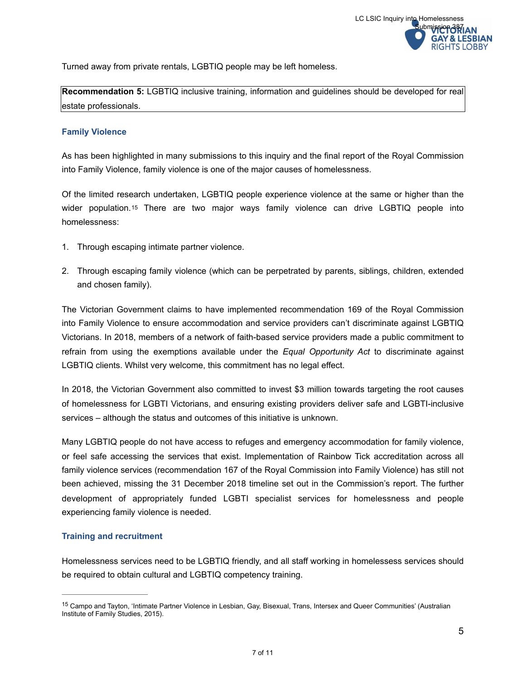Turned away from private rentals, LGBTIQ people may be left homeless.

**Recommendation 5:** LGBTIQ inclusive training, information and guidelines should be developed for real estate professionals.

## **Family Violence**

As has been highlighted in many submissions to this inquiry and the final report of the Royal Commission into Family Violence, family violence is one of the major causes of homelessness.

<span id="page-6-1"></span>Of the limited research undertaken, LGBTIQ people experience violence at the same or higher than the widerpopulation.<sup>[15](#page-6-0)</sup> There are two major ways family violence can drive LGBTIQ people into homelessness:

- 1. Through escaping intimate partner violence.
- 2. Through escaping family violence (which can be perpetrated by parents, siblings, children, extended and chosen family).

The Victorian Government claims to have implemented recommendation 169 of the Royal Commission into Family Violence to ensure accommodation and service providers can't discriminate against LGBTIQ Victorians. In 2018, members of a network of faith-based service providers made a public commitment to refrain from using the exemptions available under the *Equal Opportunity Act* to discriminate against LGBTIQ clients. Whilst very welcome, this commitment has no legal effect.

In 2018, the Victorian Government also committed to invest \$3 million towards targeting the root causes of homelessness for LGBTI Victorians, and ensuring existing providers deliver safe and LGBTI-inclusive services – although the status and outcomes of this initiative is unknown.

Many LGBTIQ people do not have access to refuges and emergency accommodation for family violence, or feel safe accessing the services that exist. Implementation of Rainbow Tick accreditation across all family violence services (recommendation 167 of the Royal Commission into Family Violence) has still not been achieved, missing the 31 December 2018 timeline set out in the Commission's report. The further development of appropriately funded LGBTI specialist services for homelessness and people experiencing family violence is needed.

# **Training and recruitment**

Homelessness services need to be LGBTIQ friendly, and all staff working in homelessess services should be required to obtain cultural and LGBTIQ competency training.

<span id="page-6-0"></span><sup>&</sup>lt;sup>[15](#page-6-1)</sup> Campo and Tayton, 'Intimate Partner Violence in Lesbian, Gay, Bisexual, Trans, Intersex and Queer Communities' (Australian Institute of Family Studies, 2015).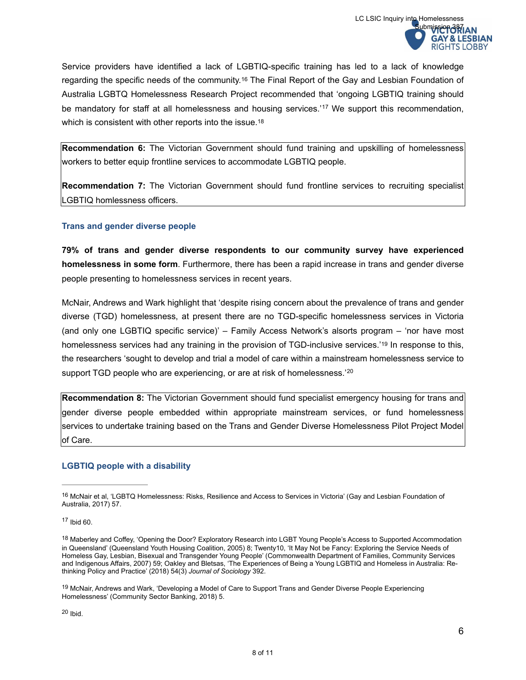<span id="page-7-5"></span>Service providers have identified a lack of LGBTIQ-specific training has led to a lack of knowledge regarding the specific needs of the community.<sup>[16](#page-7-0)</sup> The Final Report of the Gay and Lesbian Foundation of Australia LGBTQ Homelessness Research Project recommended that 'ongoing LGBTIQ training should be mandatory for staff at all homelessness and housing services.<sup>'[17](#page-7-1)</sup> We support this recommendation, which is consistent with other reports into the issue.<sup>[18](#page-7-2)</sup>

<span id="page-7-7"></span><span id="page-7-6"></span>**Recommendation 6:** The Victorian Government should fund training and upskilling of homelessness workers to better equip frontline services to accommodate LGBTIQ people.

**Recommendation 7:** The Victorian Government should fund frontline services to recruiting specialist LGBTIQ homlessness officers.

# **Trans and gender diverse people**

**79% of trans and gender diverse respondents to our community survey have experienced homelessness in some form**. Furthermore, there has been a rapid increase in trans and gender diverse people presenting to homelessness services in recent years.

<span id="page-7-8"></span>McNair, Andrews and Wark highlight that 'despite rising concern about the prevalence of trans and gender diverse (TGD) homelessness, at present there are no TGD-specific homelessness services in Victoria (and only one LGBTIQ specific service)' – Family Access Network's alsorts program – 'nor have most homelessness services had any training in the provision of TGD-inclusive services.'[19](#page-7-3) In response to this, the researchers 'sought to develop and trial a model of care within a mainstream homelessness service to support TGD people who are experiencing, or are at risk of homelessness.<sup>'[20](#page-7-4)</sup>

<span id="page-7-9"></span>**Recommendation 8:** The Victorian Government should fund specialist emergency housing for trans and gender diverse people embedded within appropriate mainstream services, or fund homelessness services to undertake training based on the Trans and Gender Diverse Homelessness Pilot Project Model of Care.

# **LGBTIQ people with a disability**

<span id="page-7-0"></span>[<sup>16</sup>](#page-7-5) McNair et al, 'LGBTQ Homelessness: Risks, Resilience and Access to Services in Victoria' (Gay and Lesbian Foundation of Australia, 2017) 57.

<span id="page-7-1"></span> $17$  Ibid 60.

<span id="page-7-2"></span><sup>&</sup>lt;sup>[18](#page-7-7)</sup> Maberley and Coffey, 'Opening the Door? Exploratory Research into LGBT Young People's Access to Supported Accommodation in Queensland' (Queensland Youth Housing Coalition, 2005) 8; Twenty10, 'It May Not be Fancy: Exploring the Service Needs of Homeless Gay, Lesbian, Bisexual and Transgender Young People' (Commonwealth Department of Families, Community Services and Indigenous Affairs, 2007) 59; Oakley and Bletsas, 'The Experiences of Being a Young LGBTIQ and Homeless in Australia: Rethinking Policy and Practice' (2018) 54(3) *Journal of Sociology* 392.

<span id="page-7-4"></span><span id="page-7-3"></span>[<sup>19</sup>](#page-7-8) McNair, Andrews and Wark, 'Developing a Model of Care to Support Trans and Gender Diverse People Experiencing Homelessness' (Community Sector Banking, 2018) 5.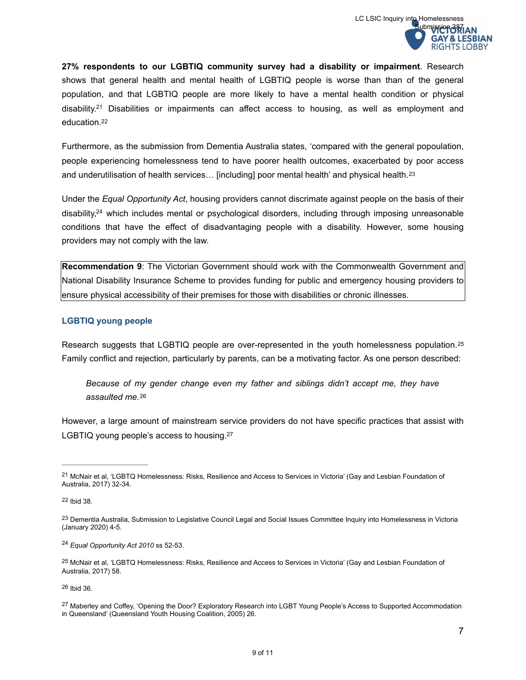**27% respondents to our LGBTIQ community survey had a disability or impairment**. Research shows that general health and mental health of LGBTIQ people is worse than than of the general population, and that LGBTIQ people are more likely to have a mental health condition or physical disability.<sup>[21](#page-8-0)</sup> Disabilities or impairments can affect access to housing, as well as employment and education[. 22](#page-8-1)

<span id="page-8-8"></span><span id="page-8-7"></span>Furthermore, as the submission from Dementia Australia states, 'compared with the general popoulation, people experiencing homelessness tend to have poorer health outcomes, exacerbated by poor access and underutilisation of health services… [including] poor mental health' and physical health. [23](#page-8-2)

<span id="page-8-10"></span><span id="page-8-9"></span>Under the *Equal Opportunity Act*, housing providers cannot discrimate against people on the basis of their disability, $24$  which includes mental or psychological disorders[,](#page-8-3) including through imposing unreasonable conditions that have the effect of disadvantaging people with a disability. However, some housing providers may not comply with the law.

**Recommendation 9**: The Victorian Government should work with the Commonwealth Government and National Disability Insurance Scheme to provides funding for public and emergency housing providers to ensure physical accessibility of their premises for those with disabilities or chronic illnesses.

# **LGBTIQ young people**

Research suggests that LGBTIQ people are over-represented in the youth homelessness population.<sup>25</sup> Family conflict and rejection, particularly by parents, can be a motivating factor. As one person described:

<span id="page-8-13"></span><span id="page-8-12"></span><span id="page-8-11"></span>*Because of my gender change even my father and siblings didn't accept me, they have assaulted me.*[26](#page-8-5)

However, a large amount of mainstream service providers do not have specific practices that assist with LGBTIQ young people's access to housing.<sup>27</sup>

<span id="page-8-5"></span> $26$  Ibid  $36$ .

9 of 11

<span id="page-8-0"></span><sup>&</sup>lt;sup>[21](#page-8-7)</sup> McNair et al, 'LGBTQ Homelessness: Risks, Resilience and Access to Services in Victoria' (Gay and Lesbian Foundation of Australia, 2017) 32-34.

<span id="page-8-1"></span>[<sup>22</sup>](#page-8-8) Ibid 38.

<span id="page-8-2"></span>[<sup>23</sup>](#page-8-9) Dementia Australia, Submission to Legislative Council Legal and Social Issues Committee Inquiry into Homelessness in Victoria (January 2020) 4-5.

<span id="page-8-3"></span><sup>&</sup>lt;sup>[24](#page-8-10)</sup> Equal Opportunity Act 2010 ss 52-53.

<span id="page-8-4"></span><sup>&</sup>lt;sup>[25](#page-8-11)</sup> McNair et al, 'LGBTQ Homelessness: Risks, Resilience and Access to Services in Victoria' (Gay and Lesbian Foundation of Australia, 2017) 58.

<span id="page-8-6"></span><sup>&</sup>lt;sup>[27](#page-8-13)</sup> Maberley and Coffey, 'Opening the Door? Exploratory Research into LGBT Young People's Access to Supported Accommodation in Queensland' (Queensland Youth Housing Coalition, 2005) 26.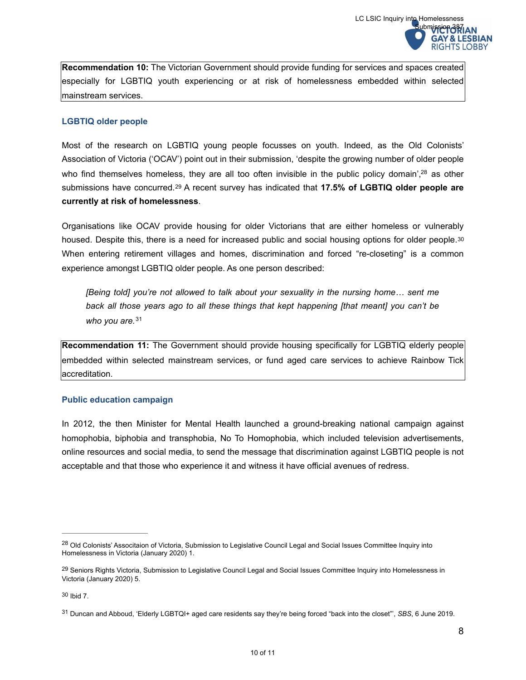**Recommendation 10:** The Victorian Government should provide funding for services and spaces created especially for LGBTIQ youth experiencing or at risk of homelessness embedded within selected mainstream services.

## **LGBTIQ older people**

Most of the research on LGBTIQ young people focusses on youth. Indeed, as the Old Colonists' Association of Victoria ('OCAV') point out in their submission, 'despite the growing number of older people who find themselves homeless[,](#page-9-0) they are all too often invisible in the public policy domain',  $28$  as other submissions have concurred.<sup>29</sup> A recent survey has indicated that **17.5% of LGBTIQ older people are currently at risk of homelessness**.

<span id="page-9-5"></span>Organisations like OCAV provide housing for older Victorians that are either homeless or vulnerably housed. Despite this, there is a need for increased public and social housing options for older people. [30](#page-9-2) When entering retirement villages and homes, discrimination and forced "re-closeting" is a common experience amongst LGBTIQ older people. As one person described:

<span id="page-9-7"></span><span id="page-9-6"></span><span id="page-9-4"></span>*[Being told] you're not allowed to talk about your sexuality in the nursing home... sent me back all those years ago to all these things that kept happening [that meant] you can't be who you are.*[31](#page-9-3)

**Recommendation 11:** The Government should provide housing specifically for LGBTIQ elderly people embedded within selected mainstream services, or fund aged care services to achieve Rainbow Tick accreditation.

## **Public education campaign**

In 2012, the then Minister for Mental Health launched a ground-breaking national campaign against homophobia, biphobia and transphobia, No To Homophobia, which included television advertisements, online resources and social media, to send the message that discrimination against LGBTIQ people is not acceptable and that those who experience it and witness it have official avenues of redress.

<span id="page-9-0"></span><sup>&</sup>lt;sup>[28](#page-9-4)</sup> Old Colonists' Associtaion of Victoria, Submission to Legislative Council Legal and Social Issues Committee Inquiry into Homelessness in Victoria (January 2020) 1.

<span id="page-9-1"></span><sup>&</sup>lt;sup>[29](#page-9-5)</sup> Seniors Rights Victoria, Submission to Legislative Council Legal and Social Issues Committee Inquiry into Homelessness in Victoria (January 2020) 5.

<span id="page-9-2"></span> $30$  Ibid  $7$ .

<span id="page-9-3"></span>Duncan and Abboud, 'Elderly LGBTQI+ aged care residents say they're being forced "back into the closet"', *SBS*, 6 June 2019. [31](#page-9-7)